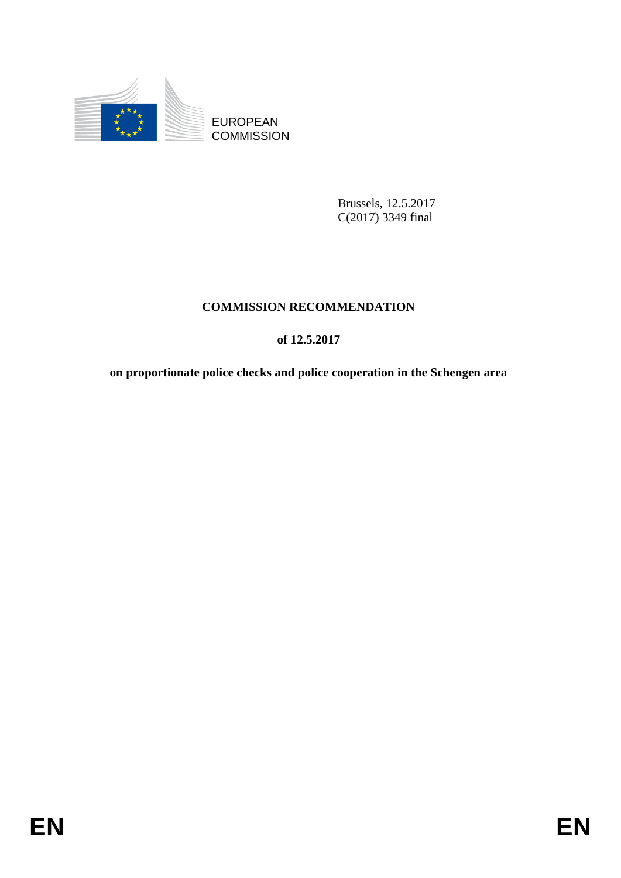

**COMMISSION** 

Brussels, 12.5.2017 C(2017) 3349 final

# **COMMISSION RECOMMENDATION**

# **of 12.5.2017**

EUROPEAN<br>
EUROPEAN<br>
ENERGINE COMMESSION<br>
ENERGINE COMMESSION<br>
ENERGINE COMMESSION<br>
ENERGINE COMMESSION<br>
COMMESSION<br>
ENERGINE COMMENDATION<br>
on proportionate police checks and police cooperation in the Schengen area<br>
ENERGIN **on proportionate police checks and police cooperation in the Schengen area**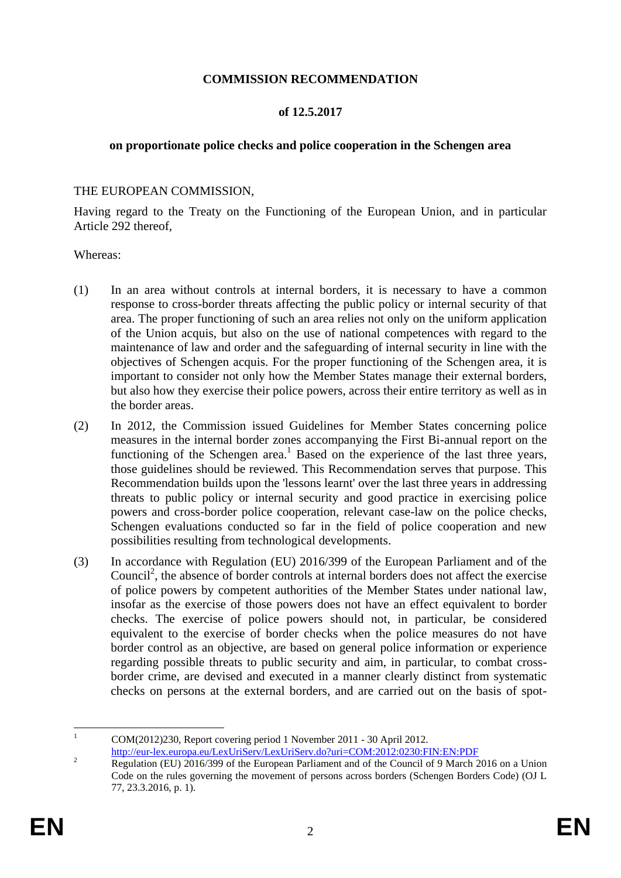## **COMMISSION RECOMMENDATION**

# **of 12.5.2017**

# **on proportionate police checks and police cooperation in the Schengen area**

## THE EUROPEAN COMMISSION,

Having regard to the Treaty on the Functioning of the European Union, and in particular Article 292 thereof,

#### Whereas:

- (1) In an area without controls at internal borders, it is necessary to have a common response to cross-border threats affecting the public policy or internal security of that area. The proper functioning of such an area relies not only on the uniform application of the Union acquis, but also on the use of national competences with regard to the maintenance of law and order and the safeguarding of internal security in line with the objectives of Schengen acquis. For the proper functioning of the Schengen area, it is important to consider not only how the Member States manage their external borders, but also how they exercise their police powers, across their entire territory as well as in the border areas.
- (2) In 2012, the Commission issued Guidelines for Member States concerning police measures in the internal border zones accompanying the First Bi-annual report on the functioning of the Schengen area.<sup>1</sup> Based on the experience of the last three years, those guidelines should be reviewed. This Recommendation serves that purpose. This Recommendation builds upon the 'lessons learnt' over the last three years in addressing threats to public policy or internal security and good practice in exercising police powers and cross-border police cooperation, relevant case-law on the police checks, Schengen evaluations conducted so far in the field of police cooperation and new possibilities resulting from technological developments.
- (3) In accordance with Regulation (EU) 2016/399 of the European Parliament and of the Council<sup>2</sup>, the absence of border controls at internal borders does not affect the exercise of police powers by competent authorities of the Member States under national law, insofar as the exercise of those powers does not have an effect equivalent to border checks. The exercise of police powers should not, in particular, be considered equivalent to the exercise of border checks when the police measures do not have border control as an objective, are based on general police information or experience regarding possible threats to public security and aim, in particular, to combat crossborder crime, are devised and executed in a manner clearly distinct from systematic checks on persons at the external borders, and are carried out on the basis of spot-

 $\mathbf{1}$ <sup>1</sup> COM(2012)230, Report covering period 1 November 2011 - 30 April 2012.

<http://eur-lex.europa.eu/LexUriServ/LexUriServ.do?uri=COM:2012:0230:FIN:EN:PDF>

<sup>&</sup>lt;sup>2</sup> Regulation (EU) 2016/399 of the European Parliament and of the Council of 9 March 2016 on a Union Code on the rules governing the movement of persons across borders (Schengen Borders Code) (OJ L 77, 23.3.2016, p. 1).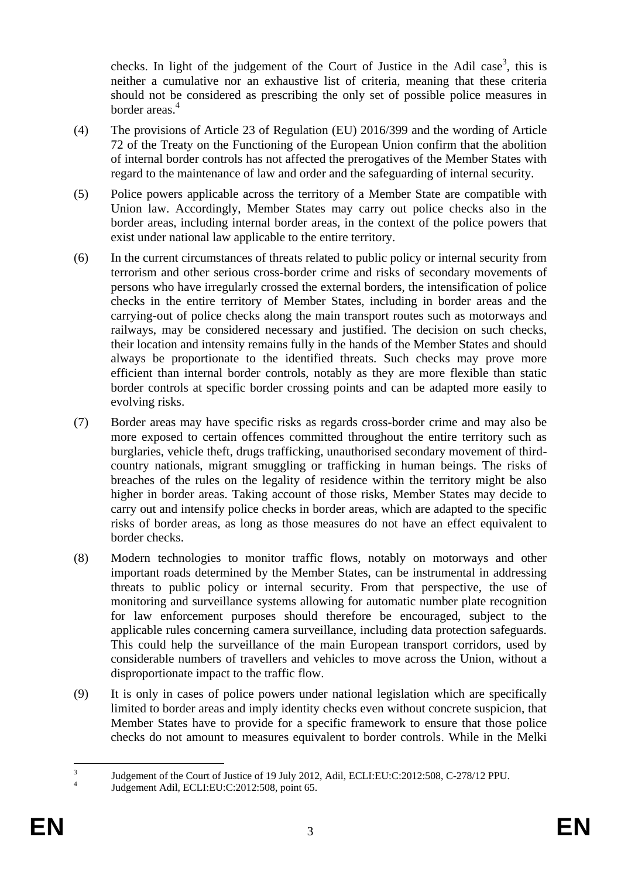checks. In light of the judgement of the Court of Justice in the Adil case<sup>3</sup>, this is neither a cumulative nor an exhaustive list of criteria, meaning that these criteria should not be considered as prescribing the only set of possible police measures in border areas.<sup>4</sup>

- (4) The provisions of Article 23 of Regulation (EU) 2016/399 and the wording of Article 72 of the Treaty on the Functioning of the European Union confirm that the abolition of internal border controls has not affected the prerogatives of the Member States with regard to the maintenance of law and order and the safeguarding of internal security.
- (5) Police powers applicable across the territory of a Member State are compatible with Union law. Accordingly, Member States may carry out police checks also in the border areas, including internal border areas, in the context of the police powers that exist under national law applicable to the entire territory.
- (6) In the current circumstances of threats related to public policy or internal security from terrorism and other serious cross-border crime and risks of secondary movements of persons who have irregularly crossed the external borders, the intensification of police checks in the entire territory of Member States, including in border areas and the carrying-out of police checks along the main transport routes such as motorways and railways, may be considered necessary and justified. The decision on such checks, their location and intensity remains fully in the hands of the Member States and should always be proportionate to the identified threats. Such checks may prove more efficient than internal border controls, notably as they are more flexible than static border controls at specific border crossing points and can be adapted more easily to evolving risks.
- (7) Border areas may have specific risks as regards cross-border crime and may also be more exposed to certain offences committed throughout the entire territory such as burglaries, vehicle theft, drugs trafficking, unauthorised secondary movement of thirdcountry nationals, migrant smuggling or trafficking in human beings. The risks of breaches of the rules on the legality of residence within the territory might be also higher in border areas. Taking account of those risks, Member States may decide to carry out and intensify police checks in border areas, which are adapted to the specific risks of border areas, as long as those measures do not have an effect equivalent to border checks.
- (8) Modern technologies to monitor traffic flows, notably on motorways and other important roads determined by the Member States, can be instrumental in addressing threats to public policy or internal security. From that perspective, the use of monitoring and surveillance systems allowing for automatic number plate recognition for law enforcement purposes should therefore be encouraged, subject to the applicable rules concerning camera surveillance, including data protection safeguards. This could help the surveillance of the main European transport corridors, used by considerable numbers of travellers and vehicles to move across the Union, without a disproportionate impact to the traffic flow.
- (9) It is only in cases of police powers under national legislation which are specifically limited to border areas and imply identity checks even without concrete suspicion, that Member States have to provide for a specific framework to ensure that those police checks do not amount to measures equivalent to border controls. While in the Melki

 $\frac{1}{3}$ Judgement of the Court of Justice of 19 July 2012, Adil, ECLI:EU:C:2012:508, C-278/12 PPU.

<sup>4</sup> Judgement Adil, ECLI:EU:C:2012:508, point 65.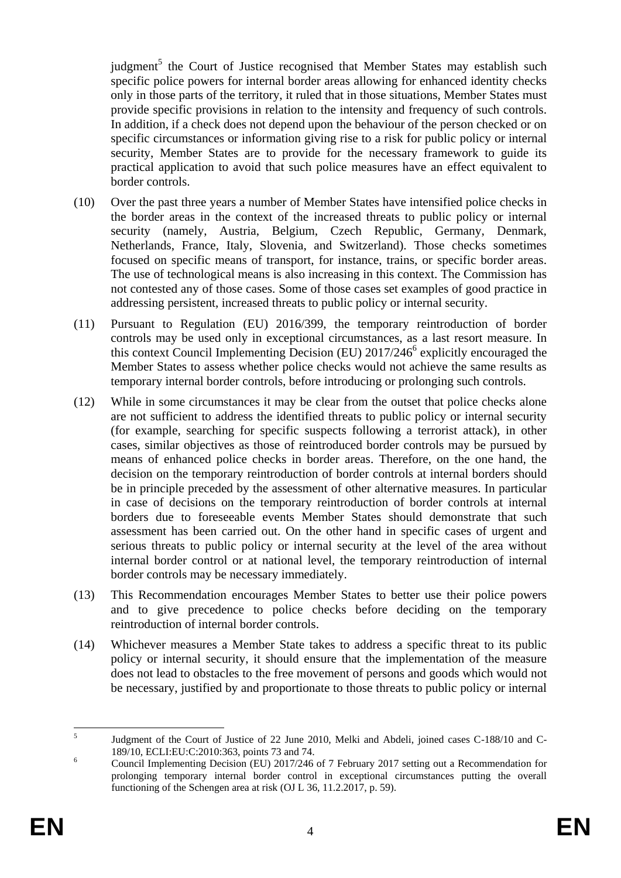judgment<sup>5</sup> the Court of Justice recognised that Member States may establish such specific police powers for internal border areas allowing for enhanced identity checks only in those parts of the territory, it ruled that in those situations, Member States must provide specific provisions in relation to the intensity and frequency of such controls. In addition, if a check does not depend upon the behaviour of the person checked or on specific circumstances or information giving rise to a risk for public policy or internal security, Member States are to provide for the necessary framework to guide its practical application to avoid that such police measures have an effect equivalent to border controls.

- (10) Over the past three years a number of Member States have intensified police checks in the border areas in the context of the increased threats to public policy or internal security (namely, Austria, Belgium, Czech Republic, Germany, Denmark, Netherlands, France, Italy, Slovenia, and Switzerland). Those checks sometimes focused on specific means of transport, for instance, trains, or specific border areas. The use of technological means is also increasing in this context. The Commission has not contested any of those cases. Some of those cases set examples of good practice in addressing persistent, increased threats to public policy or internal security.
- (11) Pursuant to Regulation (EU) 2016/399, the temporary reintroduction of border controls may be used only in exceptional circumstances, as a last resort measure. In this context Council Implementing Decision (EU) 2017/246<sup>6</sup> explicitly encouraged the Member States to assess whether police checks would not achieve the same results as temporary internal border controls, before introducing or prolonging such controls.
- (12) While in some circumstances it may be clear from the outset that police checks alone are not sufficient to address the identified threats to public policy or internal security (for example, searching for specific suspects following a terrorist attack), in other cases, similar objectives as those of reintroduced border controls may be pursued by means of enhanced police checks in border areas. Therefore, on the one hand, the decision on the temporary reintroduction of border controls at internal borders should be in principle preceded by the assessment of other alternative measures. In particular in case of decisions on the temporary reintroduction of border controls at internal borders due to foreseeable events Member States should demonstrate that such assessment has been carried out. On the other hand in specific cases of urgent and serious threats to public policy or internal security at the level of the area without internal border control or at national level, the temporary reintroduction of internal border controls may be necessary immediately.
- (13) This Recommendation encourages Member States to better use their police powers and to give precedence to police checks before deciding on the temporary reintroduction of internal border controls.
- (14) Whichever measures a Member State takes to address a specific threat to its public policy or internal security, it should ensure that the implementation of the measure does not lead to obstacles to the free movement of persons and goods which would not be necessary, justified by and proportionate to those threats to public policy or internal

 $\frac{1}{5}$ Judgment of the Court of Justice of 22 June 2010, Melki and Abdeli, joined cases C-188/10 and C-189/10, ECLI:EU:C:2010:363, points 73 and 74.

<sup>6</sup> Council Implementing Decision (EU) 2017/246 of 7 February 2017 setting out a Recommendation for prolonging temporary internal border control in exceptional circumstances putting the overall functioning of the Schengen area at risk (OJ L 36, 11.2.2017, p. 59).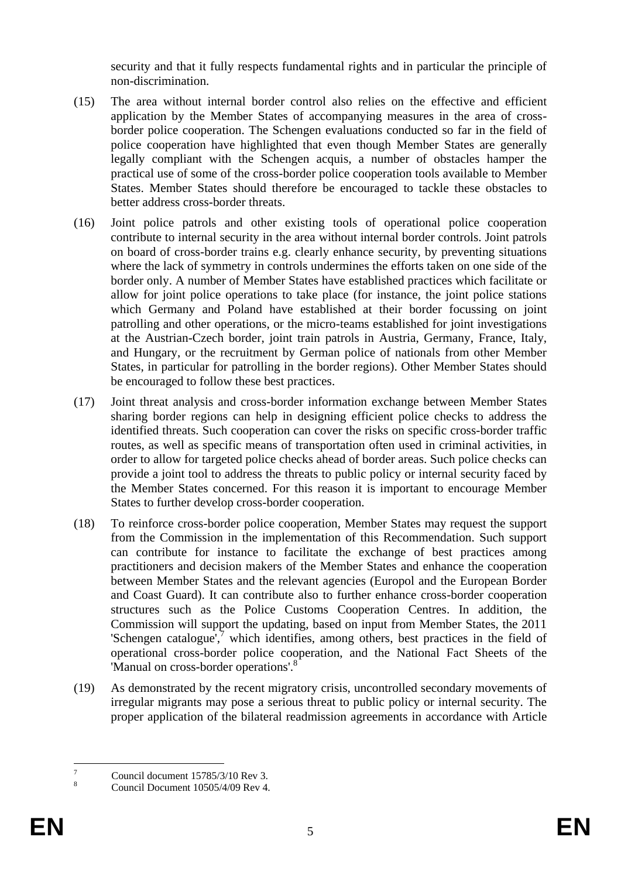security and that it fully respects fundamental rights and in particular the principle of non-discrimination.

- (15) The area without internal border control also relies on the effective and efficient application by the Member States of accompanying measures in the area of crossborder police cooperation. The Schengen evaluations conducted so far in the field of police cooperation have highlighted that even though Member States are generally legally compliant with the Schengen acquis, a number of obstacles hamper the practical use of some of the cross-border police cooperation tools available to Member States. Member States should therefore be encouraged to tackle these obstacles to better address cross-border threats.
- (16) Joint police patrols and other existing tools of operational police cooperation contribute to internal security in the area without internal border controls. Joint patrols on board of cross-border trains e.g. clearly enhance security, by preventing situations where the lack of symmetry in controls undermines the efforts taken on one side of the border only. A number of Member States have established practices which facilitate or allow for joint police operations to take place (for instance, the joint police stations which Germany and Poland have established at their border focussing on joint patrolling and other operations, or the micro-teams established for joint investigations at the Austrian-Czech border, joint train patrols in Austria, Germany, France, Italy, and Hungary, or the recruitment by German police of nationals from other Member States, in particular for patrolling in the border regions). Other Member States should be encouraged to follow these best practices.
- (17) Joint threat analysis and cross-border information exchange between Member States sharing border regions can help in designing efficient police checks to address the identified threats. Such cooperation can cover the risks on specific cross-border traffic routes, as well as specific means of transportation often used in criminal activities, in order to allow for targeted police checks ahead of border areas. Such police checks can provide a joint tool to address the threats to public policy or internal security faced by the Member States concerned. For this reason it is important to encourage Member States to further develop cross-border cooperation.
- (18) To reinforce cross-border police cooperation, Member States may request the support from the Commission in the implementation of this Recommendation. Such support can contribute for instance to facilitate the exchange of best practices among practitioners and decision makers of the Member States and enhance the cooperation between Member States and the relevant agencies (Europol and the European Border and Coast Guard). It can contribute also to further enhance cross-border cooperation structures such as the Police Customs Cooperation Centres. In addition, the Commission will support the updating, based on input from Member States, the 2011 'Schengen catalogue',<sup>7</sup> which identifies, among others, best practices in the field of operational cross-border police cooperation, and the National Fact Sheets of the 'Manual on cross-border operations'.<sup>8</sup>
- (19) As demonstrated by the recent migratory crisis, uncontrolled secondary movements of irregular migrants may pose a serious threat to public policy or internal security. The proper application of the bilateral readmission agreements in accordance with Article

 $\overline{7}$  $\frac{7}{8}$  Council document 15785/3/10 Rev 3.

<sup>8</sup> Council Document 10505/4/09 Rev 4.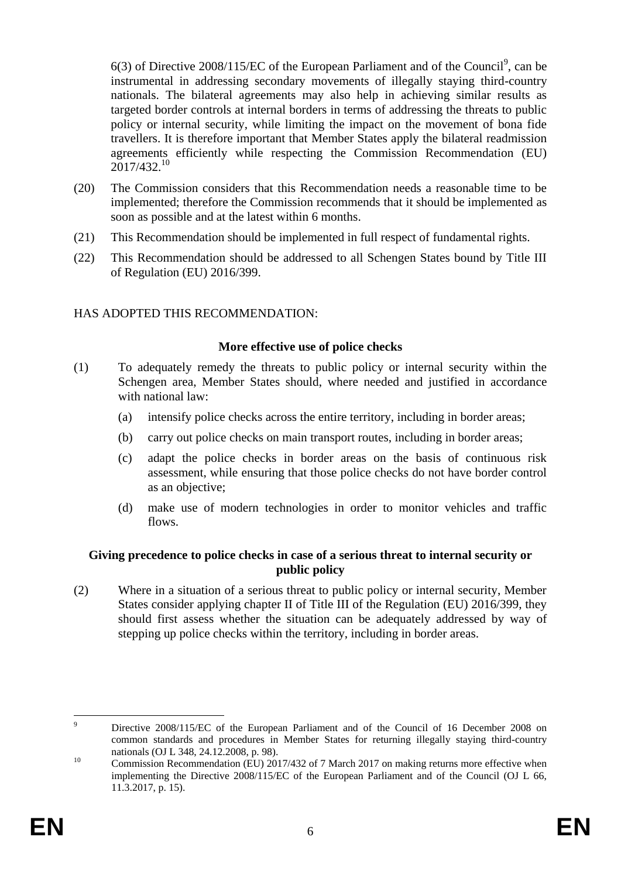$6(3)$  of Directive 2008/115/EC of the European Parliament and of the Council<sup>9</sup>, can be instrumental in addressing secondary movements of illegally staying third-country nationals. The bilateral agreements may also help in achieving similar results as targeted border controls at internal borders in terms of addressing the threats to public policy or internal security, while limiting the impact on the movement of bona fide travellers. It is therefore important that Member States apply the bilateral readmission agreements efficiently while respecting the Commission Recommendation (EU)  $2017/432^{10}$ 

- (20) The Commission considers that this Recommendation needs a reasonable time to be implemented; therefore the Commission recommends that it should be implemented as soon as possible and at the latest within 6 months.
- (21) This Recommendation should be implemented in full respect of fundamental rights.
- (22) This Recommendation should be addressed to all Schengen States bound by Title III of Regulation (EU) 2016/399.

# HAS ADOPTED THIS RECOMMENDATION:

# **More effective use of police checks**

- (1) To adequately remedy the threats to public policy or internal security within the Schengen area, Member States should, where needed and justified in accordance with national law:
	- (a) intensify police checks across the entire territory, including in border areas;
	- (b) carry out police checks on main transport routes, including in border areas;
	- (c) adapt the police checks in border areas on the basis of continuous risk assessment, while ensuring that those police checks do not have border control as an objective;
	- (d) make use of modern technologies in order to monitor vehicles and traffic flows.

# **Giving precedence to police checks in case of a serious threat to internal security or public policy**

(2) Where in a situation of a serious threat to public policy or internal security, Member States consider applying chapter II of Title III of the Regulation (EU) 2016/399, they should first assess whether the situation can be adequately addressed by way of stepping up police checks within the territory, including in border areas.

 $\overline{9}$ Directive 2008/115/EC of the European Parliament and of the Council of 16 December 2008 on common standards and procedures in Member States for returning illegally staying third-country nationals (OJ L 348, 24.12.2008, p. 98).

<sup>&</sup>lt;sup>10</sup> Commission Recommendation (EU) 2017/432 of 7 March 2017 on making returns more effective when implementing the Directive 2008/115/EC of the European Parliament and of the Council (OJ L 66, 11.3.2017, p. 15).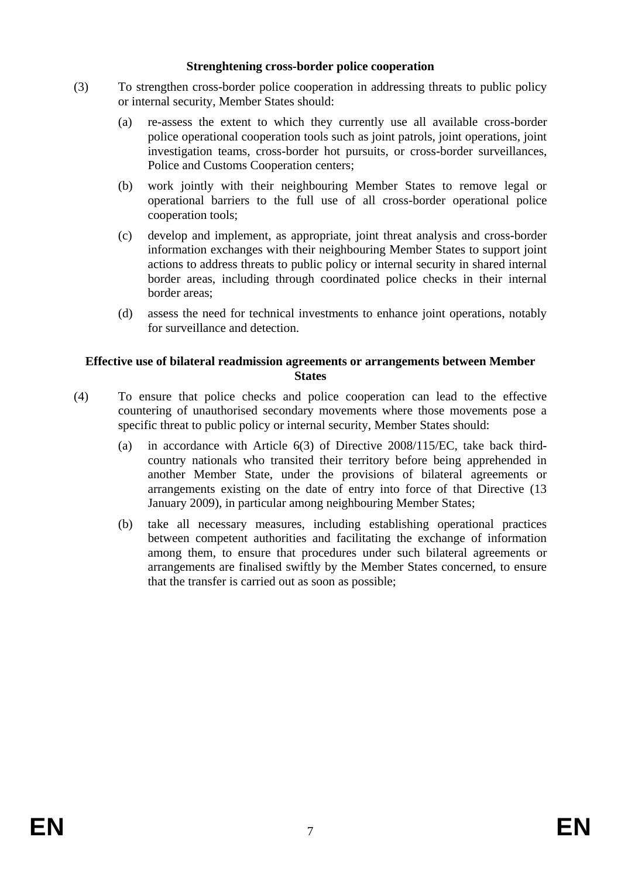#### **Strenghtening cross-border police cooperation**

- (3) To strengthen cross-border police cooperation in addressing threats to public policy or internal security, Member States should:
	- (a) re-assess the extent to which they currently use all available cross-border police operational cooperation tools such as joint patrols, joint operations, joint investigation teams, cross-border hot pursuits, or cross-border surveillances, Police and Customs Cooperation centers;
	- (b) work jointly with their neighbouring Member States to remove legal or operational barriers to the full use of all cross-border operational police cooperation tools;
	- (c) develop and implement, as appropriate, joint threat analysis and cross-border information exchanges with their neighbouring Member States to support joint actions to address threats to public policy or internal security in shared internal border areas, including through coordinated police checks in their internal border areas;
	- (d) assess the need for technical investments to enhance joint operations, notably for surveillance and detection.

## **Effective use of bilateral readmission agreements or arrangements between Member States**

- (4) To ensure that police checks and police cooperation can lead to the effective countering of unauthorised secondary movements where those movements pose a specific threat to public policy or internal security, Member States should:
	- (a) in accordance with Article 6(3) of Directive 2008/115/EC, take back thirdcountry nationals who transited their territory before being apprehended in another Member State, under the provisions of bilateral agreements or arrangements existing on the date of entry into force of that Directive (13 January 2009), in particular among neighbouring Member States;
	- (b) take all necessary measures, including establishing operational practices between competent authorities and facilitating the exchange of information among them, to ensure that procedures under such bilateral agreements or arrangements are finalised swiftly by the Member States concerned, to ensure that the transfer is carried out as soon as possible;